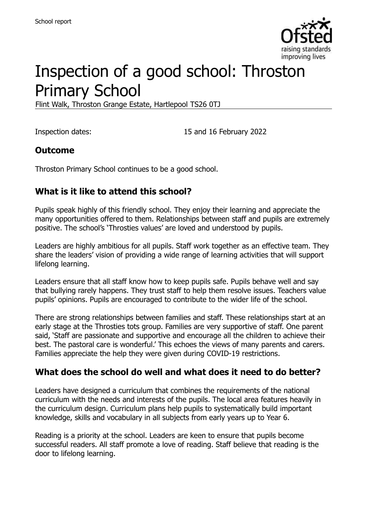

# Inspection of a good school: Throston Primary School

Flint Walk, Throston Grange Estate, Hartlepool TS26 0TJ

Inspection dates: 15 and 16 February 2022

#### **Outcome**

Throston Primary School continues to be a good school.

### **What is it like to attend this school?**

Pupils speak highly of this friendly school. They enjoy their learning and appreciate the many opportunities offered to them. Relationships between staff and pupils are extremely positive. The school's 'Throsties values' are loved and understood by pupils.

Leaders are highly ambitious for all pupils. Staff work together as an effective team. They share the leaders' vision of providing a wide range of learning activities that will support lifelong learning.

Leaders ensure that all staff know how to keep pupils safe. Pupils behave well and say that bullying rarely happens. They trust staff to help them resolve issues. Teachers value pupils' opinions. Pupils are encouraged to contribute to the wider life of the school.

There are strong relationships between families and staff. These relationships start at an early stage at the Throsties tots group. Families are very supportive of staff. One parent said, 'Staff are passionate and supportive and encourage all the children to achieve their best. The pastoral care is wonderful.' This echoes the views of many parents and carers. Families appreciate the help they were given during COVID-19 restrictions.

#### **What does the school do well and what does it need to do better?**

Leaders have designed a curriculum that combines the requirements of the national curriculum with the needs and interests of the pupils. The local area features heavily in the curriculum design. Curriculum plans help pupils to systematically build important knowledge, skills and vocabulary in all subjects from early years up to Year 6.

Reading is a priority at the school. Leaders are keen to ensure that pupils become successful readers. All staff promote a love of reading. Staff believe that reading is the door to lifelong learning.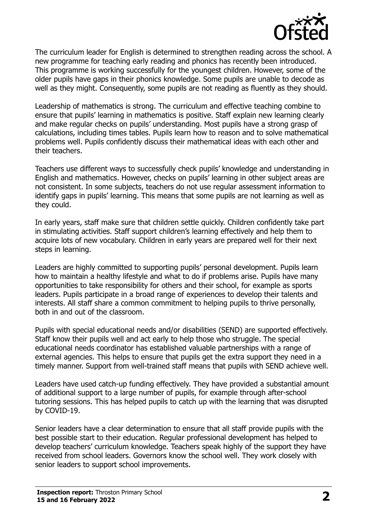

The curriculum leader for English is determined to strengthen reading across the school. A new programme for teaching early reading and phonics has recently been introduced. This programme is working successfully for the youngest children. However, some of the older pupils have gaps in their phonics knowledge. Some pupils are unable to decode as well as they might. Consequently, some pupils are not reading as fluently as they should.

Leadership of mathematics is strong. The curriculum and effective teaching combine to ensure that pupils' learning in mathematics is positive. Staff explain new learning clearly and make regular checks on pupils' understanding. Most pupils have a strong grasp of calculations, including times tables. Pupils learn how to reason and to solve mathematical problems well. Pupils confidently discuss their mathematical ideas with each other and their teachers.

Teachers use different ways to successfully check pupils' knowledge and understanding in English and mathematics. However, checks on pupils' learning in other subject areas are not consistent. In some subjects, teachers do not use regular assessment information to identify gaps in pupils' learning. This means that some pupils are not learning as well as they could.

In early years, staff make sure that children settle quickly. Children confidently take part in stimulating activities. Staff support children's learning effectively and help them to acquire lots of new vocabulary. Children in early years are prepared well for their next steps in learning.

Leaders are highly committed to supporting pupils' personal development. Pupils learn how to maintain a healthy lifestyle and what to do if problems arise. Pupils have many opportunities to take responsibility for others and their school, for example as sports leaders. Pupils participate in a broad range of experiences to develop their talents and interests. All staff share a common commitment to helping pupils to thrive personally, both in and out of the classroom.

Pupils with special educational needs and/or disabilities (SEND) are supported effectively. Staff know their pupils well and act early to help those who struggle. The special educational needs coordinator has established valuable partnerships with a range of external agencies. This helps to ensure that pupils get the extra support they need in a timely manner. Support from well-trained staff means that pupils with SEND achieve well.

Leaders have used catch-up funding effectively. They have provided a substantial amount of additional support to a large number of pupils, for example through after-school tutoring sessions. This has helped pupils to catch up with the learning that was disrupted by COVID-19.

Senior leaders have a clear determination to ensure that all staff provide pupils with the best possible start to their education. Regular professional development has helped to develop teachers' curriculum knowledge. Teachers speak highly of the support they have received from school leaders. Governors know the school well. They work closely with senior leaders to support school improvements.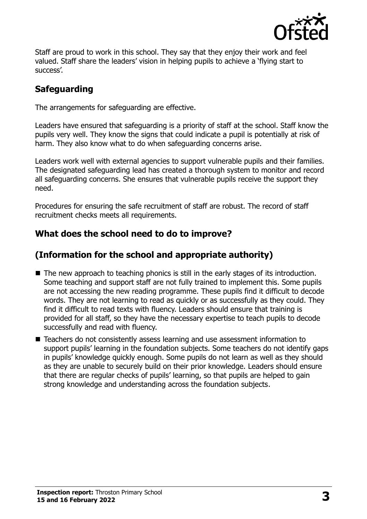

Staff are proud to work in this school. They say that they enjoy their work and feel valued. Staff share the leaders' vision in helping pupils to achieve a 'flying start to success'.

# **Safeguarding**

The arrangements for safeguarding are effective.

Leaders have ensured that safeguarding is a priority of staff at the school. Staff know the pupils very well. They know the signs that could indicate a pupil is potentially at risk of harm. They also know what to do when safeguarding concerns arise.

Leaders work well with external agencies to support vulnerable pupils and their families. The designated safeguarding lead has created a thorough system to monitor and record all safeguarding concerns. She ensures that vulnerable pupils receive the support they need.

Procedures for ensuring the safe recruitment of staff are robust. The record of staff recruitment checks meets all requirements.

### **What does the school need to do to improve?**

# **(Information for the school and appropriate authority)**

- The new approach to teaching phonics is still in the early stages of its introduction. Some teaching and support staff are not fully trained to implement this. Some pupils are not accessing the new reading programme. These pupils find it difficult to decode words. They are not learning to read as quickly or as successfully as they could. They find it difficult to read texts with fluency. Leaders should ensure that training is provided for all staff, so they have the necessary expertise to teach pupils to decode successfully and read with fluency.
- Teachers do not consistently assess learning and use assessment information to support pupils' learning in the foundation subjects. Some teachers do not identify gaps in pupils' knowledge quickly enough. Some pupils do not learn as well as they should as they are unable to securely build on their prior knowledge. Leaders should ensure that there are regular checks of pupils' learning, so that pupils are helped to gain strong knowledge and understanding across the foundation subjects.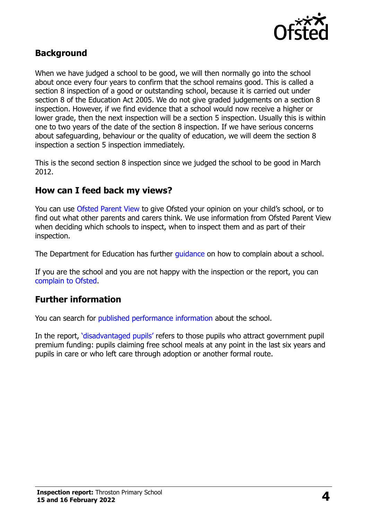

#### **Background**

When we have judged a school to be good, we will then normally go into the school about once every four years to confirm that the school remains good. This is called a section 8 inspection of a good or outstanding school, because it is carried out under section 8 of the Education Act 2005. We do not give graded judgements on a section 8 inspection. However, if we find evidence that a school would now receive a higher or lower grade, then the next inspection will be a section 5 inspection. Usually this is within one to two years of the date of the section 8 inspection. If we have serious concerns about safeguarding, behaviour or the quality of education, we will deem the section 8 inspection a section 5 inspection immediately.

This is the second section 8 inspection since we judged the school to be good in March 2012.

#### **How can I feed back my views?**

You can use [Ofsted Parent View](https://parentview.ofsted.gov.uk/) to give Ofsted your opinion on your child's school, or to find out what other parents and carers think. We use information from Ofsted Parent View when deciding which schools to inspect, when to inspect them and as part of their inspection.

The Department for Education has further quidance on how to complain about a school.

If you are the school and you are not happy with the inspection or the report, you can [complain to Ofsted.](https://www.gov.uk/complain-ofsted-report)

#### **Further information**

You can search for [published performance information](http://www.compare-school-performance.service.gov.uk/) about the school.

In the report, '[disadvantaged pupils](http://www.gov.uk/guidance/pupil-premium-information-for-schools-and-alternative-provision-settings)' refers to those pupils who attract government pupil premium funding: pupils claiming free school meals at any point in the last six years and pupils in care or who left care through adoption or another formal route.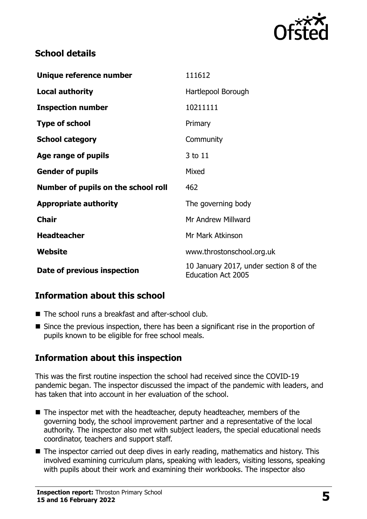

## **School details**

| Unique reference number             | 111612                                                               |
|-------------------------------------|----------------------------------------------------------------------|
| <b>Local authority</b>              | Hartlepool Borough                                                   |
| <b>Inspection number</b>            | 10211111                                                             |
| <b>Type of school</b>               | Primary                                                              |
| <b>School category</b>              | Community                                                            |
| Age range of pupils                 | 3 to 11                                                              |
| <b>Gender of pupils</b>             | Mixed                                                                |
| Number of pupils on the school roll | 462                                                                  |
| <b>Appropriate authority</b>        | The governing body                                                   |
| <b>Chair</b>                        | Mr Andrew Millward                                                   |
| <b>Headteacher</b>                  | Mr Mark Atkinson                                                     |
| Website                             | www.throstonschool.org.uk                                            |
| Date of previous inspection         | 10 January 2017, under section 8 of the<br><b>Education Act 2005</b> |

# **Information about this school**

- The school runs a breakfast and after-school club.
- Since the previous inspection, there has been a significant rise in the proportion of pupils known to be eligible for free school meals.

# **Information about this inspection**

This was the first routine inspection the school had received since the COVID-19 pandemic began. The inspector discussed the impact of the pandemic with leaders, and has taken that into account in her evaluation of the school.

- The inspector met with the headteacher, deputy headteacher, members of the governing body, the school improvement partner and a representative of the local authority. The inspector also met with subject leaders, the special educational needs coordinator, teachers and support staff.
- $\blacksquare$  The inspector carried out deep dives in early reading, mathematics and history. This involved examining curriculum plans, speaking with leaders, visiting lessons, speaking with pupils about their work and examining their workbooks. The inspector also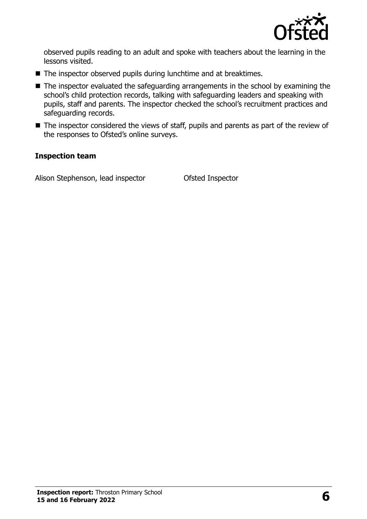

observed pupils reading to an adult and spoke with teachers about the learning in the lessons visited.

- The inspector observed pupils during lunchtime and at breaktimes.
- The inspector evaluated the safeguarding arrangements in the school by examining the school's child protection records, talking with safeguarding leaders and speaking with pupils, staff and parents. The inspector checked the school's recruitment practices and safeguarding records.
- The inspector considered the views of staff, pupils and parents as part of the review of the responses to Ofsted's online surveys.

#### **Inspection team**

Alison Stephenson, lead inspector **Ofsted Inspector**